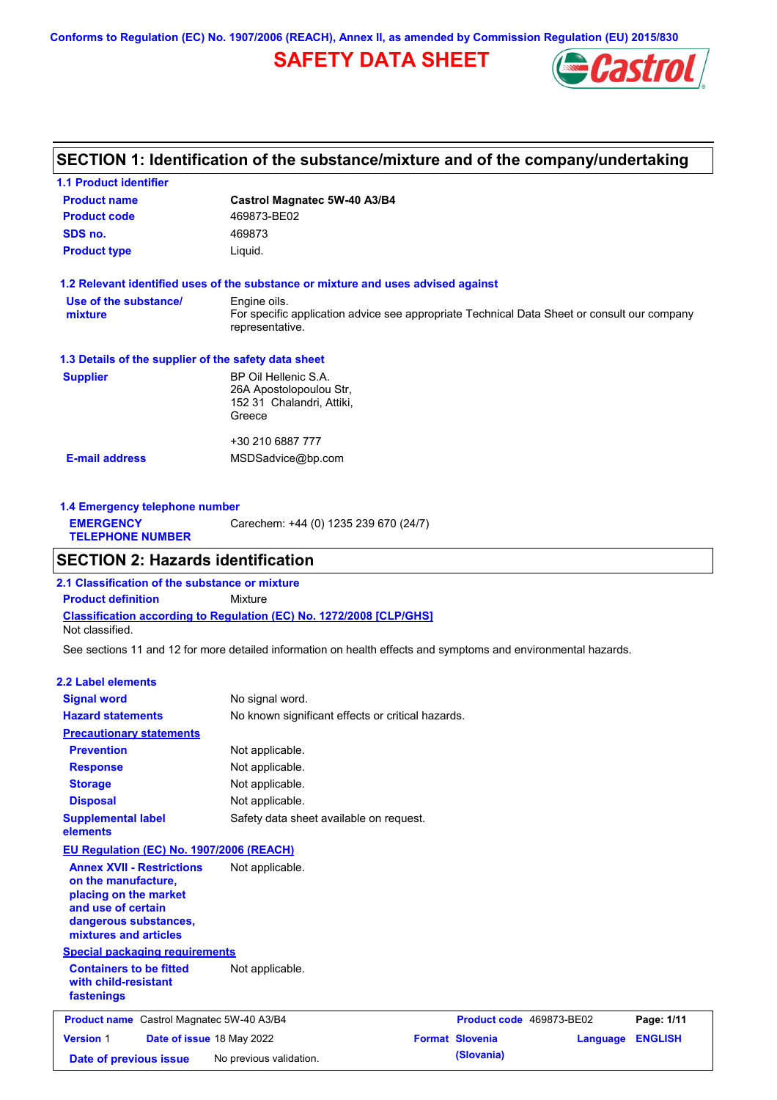**Conforms to Regulation (EC) No. 1907/2006 (REACH), Annex II, as amended by Commission Regulation (EU) 2015/830**

# **SAFETY DATA SHEET**



## **SECTION 1: Identification of the substance/mixture and of the company/undertaking**

| <b>1.1 Product identifier</b>                        |                                                                                                                |
|------------------------------------------------------|----------------------------------------------------------------------------------------------------------------|
| <b>Product name</b>                                  | Castrol Magnatec 5W-40 A3/B4                                                                                   |
| <b>Product code</b>                                  | 469873-BE02                                                                                                    |
| SDS no.                                              | 469873                                                                                                         |
| <b>Product type</b>                                  | Liquid.                                                                                                        |
|                                                      | 1.2 Relevant identified uses of the substance or mixture and uses advised against                              |
| Use of the substance/                                | Engine oils.                                                                                                   |
| mixture                                              | For specific application advice see appropriate Technical Data Sheet or consult our company<br>representative. |
| 1.3 Details of the supplier of the safety data sheet |                                                                                                                |
| <b>Supplier</b>                                      | BP Oil Hellenic S.A.                                                                                           |
|                                                      | 26A Apostolopoulou Str.                                                                                        |
|                                                      | 152 31 Chalandri, Attiki,                                                                                      |
|                                                      | Greece                                                                                                         |
|                                                      | +30 210 6887 777                                                                                               |
| <b>E-mail address</b>                                | MSDSadvice@bp.com                                                                                              |
|                                                      |                                                                                                                |
|                                                      |                                                                                                                |

| 1.4 Emergency telephone number              |                                       |
|---------------------------------------------|---------------------------------------|
| <b>EMERGENCY</b><br><b>TELEPHONE NUMBER</b> | Carechem: +44 (0) 1235 239 670 (24/7) |

### **SECTION 2: Hazards identification**

**Classification according to Regulation (EC) No. 1272/2008 [CLP/GHS] 2.1 Classification of the substance or mixture Product definition** Mixture Not classified.

See sections 11 and 12 for more detailed information on health effects and symptoms and environmental hazards.

#### **2.2 Label elements**

| <b>Signal word</b>                                                                                                                                       | No signal word.                                   |                          |          |                |
|----------------------------------------------------------------------------------------------------------------------------------------------------------|---------------------------------------------------|--------------------------|----------|----------------|
| <b>Hazard statements</b>                                                                                                                                 | No known significant effects or critical hazards. |                          |          |                |
| <b>Precautionary statements</b>                                                                                                                          |                                                   |                          |          |                |
| <b>Prevention</b>                                                                                                                                        | Not applicable.                                   |                          |          |                |
| <b>Response</b>                                                                                                                                          | Not applicable.                                   |                          |          |                |
| <b>Storage</b>                                                                                                                                           | Not applicable.                                   |                          |          |                |
| <b>Disposal</b>                                                                                                                                          | Not applicable.                                   |                          |          |                |
| <b>Supplemental label</b><br>elements                                                                                                                    | Safety data sheet available on request.           |                          |          |                |
| EU Regulation (EC) No. 1907/2006 (REACH)                                                                                                                 |                                                   |                          |          |                |
| <b>Annex XVII - Restrictions</b><br>on the manufacture,<br>placing on the market<br>and use of certain<br>dangerous substances,<br>mixtures and articles | Not applicable.                                   |                          |          |                |
| <b>Special packaging requirements</b>                                                                                                                    |                                                   |                          |          |                |
| <b>Containers to be fitted</b><br>with child-resistant<br>fastenings                                                                                     | Not applicable.                                   |                          |          |                |
| <b>Product name</b> Castrol Magnatec 5W-40 A3/B4                                                                                                         |                                                   | Product code 469873-BE02 |          | Page: 1/11     |
| Date of issue 18 May 2022<br><b>Version 1</b>                                                                                                            |                                                   | <b>Format Slovenia</b>   | Language | <b>ENGLISH</b> |
| Date of previous issue                                                                                                                                   | No previous validation.                           | (Slovania)               |          |                |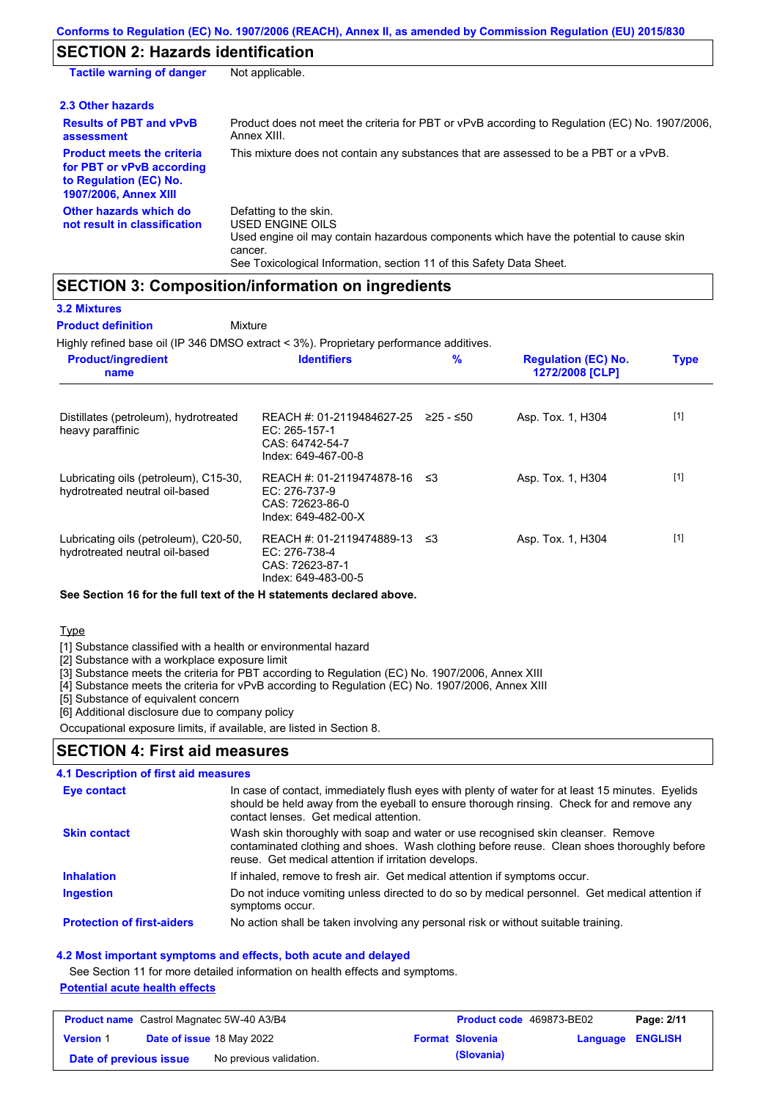# **SECTION 2: Hazards identification**

| <b>Tactile warning of danger</b>                                                                                         | Not applicable.                                                                                                                                                                                                                 |
|--------------------------------------------------------------------------------------------------------------------------|---------------------------------------------------------------------------------------------------------------------------------------------------------------------------------------------------------------------------------|
| 2.3 Other hazards                                                                                                        |                                                                                                                                                                                                                                 |
| <b>Results of PBT and vPvB</b><br>assessment                                                                             | Product does not meet the criteria for PBT or vPvB according to Regulation (EC) No. 1907/2006.<br>Annex XIII.                                                                                                                   |
| <b>Product meets the criteria</b><br>for PBT or vPvB according<br>to Regulation (EC) No.<br><b>1907/2006, Annex XIII</b> | This mixture does not contain any substances that are assessed to be a PBT or a vPvB.                                                                                                                                           |
| Other hazards which do<br>not result in classification                                                                   | Defatting to the skin.<br><b>USED ENGINE OILS</b><br>Used engine oil may contain hazardous components which have the potential to cause skin<br>cancer.<br>See Toxicological Information, section 11 of this Safety Data Sheet. |

### **SECTION 3: Composition/information on ingredients**

| <b>3.2 Mixtures</b>       |
|---------------------------|
| <b>Product definition</b> |

**Mixture** 

Highly refined base oil (IP 346 DMSO extract < 3%). Proprietary performance additives.

| <b>Product/ingredient</b><br>name                                       | <b>Identifiers</b>                                                                      | $\frac{9}{6}$ | <b>Regulation (EC) No.</b><br>1272/2008 [CLP] | <b>Type</b> |
|-------------------------------------------------------------------------|-----------------------------------------------------------------------------------------|---------------|-----------------------------------------------|-------------|
| Distillates (petroleum), hydrotreated<br>heavy paraffinic               | REACH #: 01-2119484627-25<br>$EC: 265-157-1$<br>CAS: 64742-54-7<br>Index: 649-467-00-8  | ≥25 - ≤50     | Asp. Tox. 1, H304                             | $[1]$       |
| Lubricating oils (petroleum), C15-30,<br>hydrotreated neutral oil-based | REACH #: 01-2119474878-16 ≤3<br>EC: 276-737-9<br>CAS: 72623-86-0<br>Index: 649-482-00-X |               | Asp. Tox. 1, H304                             | $[1]$       |
| Lubricating oils (petroleum), C20-50,<br>hydrotreated neutral oil-based | REACH #: 01-2119474889-13 ≤3<br>EC: 276-738-4<br>CAS: 72623-87-1<br>Index: 649-483-00-5 |               | Asp. Tox. 1, H304                             | $[1]$       |

### **See Section 16 for the full text of the H statements declared above.**

**Type** 

[1] Substance classified with a health or environmental hazard

[2] Substance with a workplace exposure limit

[3] Substance meets the criteria for PBT according to Regulation (EC) No. 1907/2006, Annex XIII

[4] Substance meets the criteria for vPvB according to Regulation (EC) No. 1907/2006, Annex XIII

[5] Substance of equivalent concern

[6] Additional disclosure due to company policy

Occupational exposure limits, if available, are listed in Section 8.

### **SECTION 4: First aid measures**

| <b>4.1 Description of first aid measures</b> |                                                                                                                                                                                                                                         |
|----------------------------------------------|-----------------------------------------------------------------------------------------------------------------------------------------------------------------------------------------------------------------------------------------|
| Eye contact                                  | In case of contact, immediately flush eyes with plenty of water for at least 15 minutes. Eyelids<br>should be held away from the eyeball to ensure thorough rinsing. Check for and remove any<br>contact lenses. Get medical attention. |
| <b>Skin contact</b>                          | Wash skin thoroughly with soap and water or use recognised skin cleanser. Remove<br>contaminated clothing and shoes. Wash clothing before reuse. Clean shoes thoroughly before<br>reuse. Get medical attention if irritation develops.  |
| <b>Inhalation</b>                            | If inhaled, remove to fresh air. Get medical attention if symptoms occur.                                                                                                                                                               |
| <b>Ingestion</b>                             | Do not induce vomiting unless directed to do so by medical personnel. Get medical attention if<br>symptoms occur.                                                                                                                       |
| <b>Protection of first-aiders</b>            | No action shall be taken involving any personal risk or without suitable training.                                                                                                                                                      |

#### **4.2 Most important symptoms and effects, both acute and delayed**

See Section 11 for more detailed information on health effects and symptoms.

### **Potential acute health effects**

| <b>Product name</b> Castrol Magnatec 5W-40 A3/B4 |  | <b>Product code</b> 469873-BE02  |  | Page: 2/11             |                  |  |
|--------------------------------------------------|--|----------------------------------|--|------------------------|------------------|--|
| <b>Version 1</b>                                 |  | <b>Date of issue 18 May 2022</b> |  | <b>Format Slovenia</b> | Language ENGLISH |  |
| Date of previous issue                           |  | No previous validation.          |  | (Slovania)             |                  |  |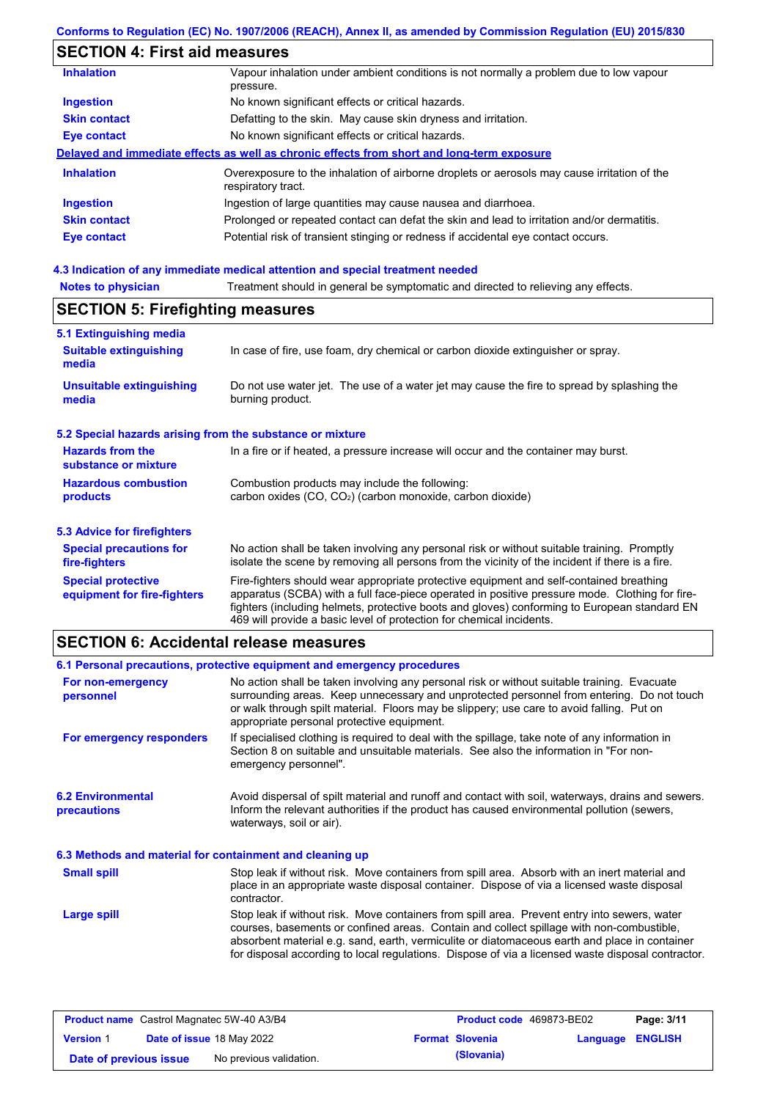# **SECTION 4: First aid measures**

| <b>Inhalation</b>   | Vapour inhalation under ambient conditions is not normally a problem due to low vapour<br>pressure.               |
|---------------------|-------------------------------------------------------------------------------------------------------------------|
| <b>Ingestion</b>    | No known significant effects or critical hazards.                                                                 |
| <b>Skin contact</b> | Defatting to the skin. May cause skin dryness and irritation.                                                     |
| <b>Eye contact</b>  | No known significant effects or critical hazards.                                                                 |
|                     | Delayed and immediate effects as well as chronic effects from short and long-term exposure                        |
| <b>Inhalation</b>   | Overexposure to the inhalation of airborne droplets or aerosols may cause irritation of the<br>respiratory tract. |
| <b>Ingestion</b>    | Ingestion of large quantities may cause nausea and diarrhoea.                                                     |
| <b>Skin contact</b> | Prolonged or repeated contact can defat the skin and lead to irritation and/or dermatitis.                        |
| <b>Eye contact</b>  | Potential risk of transient stinging or redness if accidental eye contact occurs.                                 |
|                     |                                                                                                                   |

# **4.3 Indication of any immediate medical attention and special treatment needed**

| 5.1 Extinguishing media                                   |                                                                                                                                                                                                                                                                                                                                                                   |  |  |
|-----------------------------------------------------------|-------------------------------------------------------------------------------------------------------------------------------------------------------------------------------------------------------------------------------------------------------------------------------------------------------------------------------------------------------------------|--|--|
| <b>Suitable extinguishing</b><br>media                    | In case of fire, use foam, dry chemical or carbon dioxide extinguisher or spray.                                                                                                                                                                                                                                                                                  |  |  |
| <b>Unsuitable extinguishing</b><br>media                  | Do not use water jet. The use of a water jet may cause the fire to spread by splashing the<br>burning product.                                                                                                                                                                                                                                                    |  |  |
| 5.2 Special hazards arising from the substance or mixture |                                                                                                                                                                                                                                                                                                                                                                   |  |  |
| <b>Hazards from the</b><br>substance or mixture           | In a fire or if heated, a pressure increase will occur and the container may burst.                                                                                                                                                                                                                                                                               |  |  |
| <b>Hazardous combustion</b><br>products                   | Combustion products may include the following:<br>carbon oxides $(CO, CO2)$ (carbon monoxide, carbon dioxide)                                                                                                                                                                                                                                                     |  |  |
| 5.3 Advice for firefighters                               |                                                                                                                                                                                                                                                                                                                                                                   |  |  |
| <b>Special precautions for</b><br>fire-fighters           | No action shall be taken involving any personal risk or without suitable training. Promptly<br>isolate the scene by removing all persons from the vicinity of the incident if there is a fire.                                                                                                                                                                    |  |  |
| <b>Special protective</b><br>equipment for fire-fighters  | Fire-fighters should wear appropriate protective equipment and self-contained breathing<br>apparatus (SCBA) with a full face-piece operated in positive pressure mode. Clothing for fire-<br>fighters (including helmets, protective boots and gloves) conforming to European standard EN<br>469 will provide a basic level of protection for chemical incidents. |  |  |

### **SECTION 6: Accidental release measures**

## **6.1 Personal precautions, protective equipment and emergency procedures**

| For non-emergency<br>personnel                           | No action shall be taken involving any personal risk or without suitable training. Evacuate<br>surrounding areas. Keep unnecessary and unprotected personnel from entering. Do not touch<br>or walk through spilt material. Floors may be slippery; use care to avoid falling. Put on<br>appropriate personal protective equipment.                                                            |
|----------------------------------------------------------|------------------------------------------------------------------------------------------------------------------------------------------------------------------------------------------------------------------------------------------------------------------------------------------------------------------------------------------------------------------------------------------------|
| For emergency responders                                 | If specialised clothing is required to deal with the spillage, take note of any information in<br>Section 8 on suitable and unsuitable materials. See also the information in "For non-<br>emergency personnel".                                                                                                                                                                               |
| <b>6.2 Environmental</b><br>precautions                  | Avoid dispersal of spilt material and runoff and contact with soil, waterways, drains and sewers.<br>Inform the relevant authorities if the product has caused environmental pollution (sewers,<br>waterways, soil or air).                                                                                                                                                                    |
| 6.3 Methods and material for containment and cleaning up |                                                                                                                                                                                                                                                                                                                                                                                                |
| <b>Small spill</b>                                       | Stop leak if without risk. Move containers from spill area. Absorb with an inert material and<br>place in an appropriate waste disposal container. Dispose of via a licensed waste disposal<br>contractor.                                                                                                                                                                                     |
| Large spill                                              | Stop leak if without risk. Move containers from spill area. Prevent entry into sewers, water<br>courses, basements or confined areas. Contain and collect spillage with non-combustible,<br>absorbent material e.g. sand, earth, vermiculite or diatomaceous earth and place in container<br>for disposal according to local regulations. Dispose of via a licensed waste disposal contractor. |

| <b>Product name</b> Castrol Magnatec 5W-40 A3/B4 |  | <b>Product code</b> 469873-BE02  | Page: 3/11 |                        |                  |  |
|--------------------------------------------------|--|----------------------------------|------------|------------------------|------------------|--|
| <b>Version 1</b>                                 |  | <b>Date of issue 18 May 2022</b> |            | <b>Format Slovenia</b> | Language ENGLISH |  |
| Date of previous issue                           |  | No previous validation.          |            | (Slovania)             |                  |  |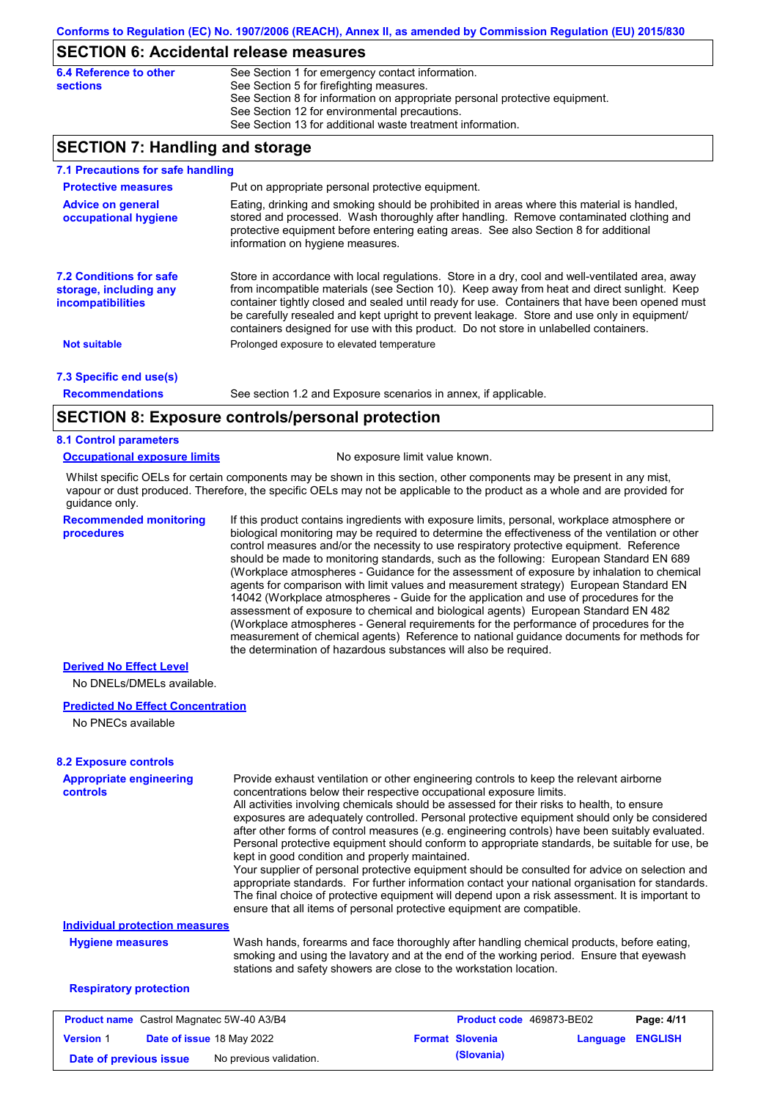### **SECTION 6: Accidental release measures**

| 6.4 Reference to other | See Section 1 for emergency contact information.                            |
|------------------------|-----------------------------------------------------------------------------|
| sections               | See Section 5 for firefighting measures.                                    |
|                        | See Section 8 for information on appropriate personal protective equipment. |
|                        | See Section 12 for environmental precautions.                               |
|                        | See Section 13 for additional waste treatment information.                  |

### **SECTION 7: Handling and storage**

| 7.1 Precautions for safe handling                                             |                                                                                                                                                                                                                                                                                                                                                                                                                                                                                          |
|-------------------------------------------------------------------------------|------------------------------------------------------------------------------------------------------------------------------------------------------------------------------------------------------------------------------------------------------------------------------------------------------------------------------------------------------------------------------------------------------------------------------------------------------------------------------------------|
| <b>Protective measures</b>                                                    | Put on appropriate personal protective equipment.                                                                                                                                                                                                                                                                                                                                                                                                                                        |
| <b>Advice on general</b><br>occupational hygiene                              | Eating, drinking and smoking should be prohibited in areas where this material is handled,<br>stored and processed. Wash thoroughly after handling. Remove contaminated clothing and<br>protective equipment before entering eating areas. See also Section 8 for additional<br>information on hygiene measures.                                                                                                                                                                         |
| <b>7.2 Conditions for safe</b><br>storage, including any<br>incompatibilities | Store in accordance with local regulations. Store in a dry, cool and well-ventilated area, away<br>from incompatible materials (see Section 10). Keep away from heat and direct sunlight. Keep<br>container tightly closed and sealed until ready for use. Containers that have been opened must<br>be carefully resealed and kept upright to prevent leakage. Store and use only in equipment/<br>containers designed for use with this product. Do not store in unlabelled containers. |
| <b>Not suitable</b>                                                           | Prolonged exposure to elevated temperature                                                                                                                                                                                                                                                                                                                                                                                                                                               |
| 7.3 Specific end use(s)                                                       |                                                                                                                                                                                                                                                                                                                                                                                                                                                                                          |
| <b>Recommendations</b>                                                        | See section 1.2 and Exposure scenarios in annex, if applicable.                                                                                                                                                                                                                                                                                                                                                                                                                          |
|                                                                               | CECTION 0. Evansure controlate research protection                                                                                                                                                                                                                                                                                                                                                                                                                                       |

### **SECTION 8: Exposure controls/personal protection**

#### **8.1 Control parameters**

#### **Occupational exposure limits** No exposure limit value known.

Whilst specific OELs for certain components may be shown in this section, other components may be present in any mist, vapour or dust produced. Therefore, the specific OELs may not be applicable to the product as a whole and are provided for guidance only.

**Recommended monitoring procedures**

If this product contains ingredients with exposure limits, personal, workplace atmosphere or biological monitoring may be required to determine the effectiveness of the ventilation or other control measures and/or the necessity to use respiratory protective equipment. Reference should be made to monitoring standards, such as the following: European Standard EN 689 (Workplace atmospheres - Guidance for the assessment of exposure by inhalation to chemical agents for comparison with limit values and measurement strategy) European Standard EN 14042 (Workplace atmospheres - Guide for the application and use of procedures for the assessment of exposure to chemical and biological agents) European Standard EN 482 (Workplace atmospheres - General requirements for the performance of procedures for the measurement of chemical agents) Reference to national guidance documents for methods for the determination of hazardous substances will also be required.

### **Derived No Effect Level**

No DNELs/DMELs available.

#### **Predicted No Effect Concentration**

No PNECs available

**Version** 1

| <b>8.2 Exposure controls</b><br>Provide exhaust ventilation or other engineering controls to keep the relevant airborne<br><b>Appropriate engineering</b><br>concentrations below their respective occupational exposure limits.<br><b>controls</b><br>All activities involving chemicals should be assessed for their risks to health, to ensure<br>exposures are adequately controlled. Personal protective equipment should only be considered<br>after other forms of control measures (e.g. engineering controls) have been suitably evaluated.<br>Personal protective equipment should conform to appropriate standards, be suitable for use, be<br>kept in good condition and properly maintained.<br>Your supplier of personal protective equipment should be consulted for advice on selection and<br>appropriate standards. For further information contact your national organisation for standards.<br>The final choice of protective equipment will depend upon a risk assessment. It is important to<br>ensure that all items of personal protective equipment are compatible. |                                                                    |                                                                                                                                                                                       |            |
|----------------------------------------------------------------------------------------------------------------------------------------------------------------------------------------------------------------------------------------------------------------------------------------------------------------------------------------------------------------------------------------------------------------------------------------------------------------------------------------------------------------------------------------------------------------------------------------------------------------------------------------------------------------------------------------------------------------------------------------------------------------------------------------------------------------------------------------------------------------------------------------------------------------------------------------------------------------------------------------------------------------------------------------------------------------------------------------------|--------------------------------------------------------------------|---------------------------------------------------------------------------------------------------------------------------------------------------------------------------------------|------------|
| <b>Individual protection measures</b>                                                                                                                                                                                                                                                                                                                                                                                                                                                                                                                                                                                                                                                                                                                                                                                                                                                                                                                                                                                                                                                        |                                                                    |                                                                                                                                                                                       |            |
| <b>Hygiene measures</b>                                                                                                                                                                                                                                                                                                                                                                                                                                                                                                                                                                                                                                                                                                                                                                                                                                                                                                                                                                                                                                                                      | stations and safety showers are close to the workstation location. | Wash hands, forearms and face thoroughly after handling chemical products, before eating,<br>smoking and using the lavatory and at the end of the working period. Ensure that eyewash |            |
| <b>Respiratory protection</b>                                                                                                                                                                                                                                                                                                                                                                                                                                                                                                                                                                                                                                                                                                                                                                                                                                                                                                                                                                                                                                                                |                                                                    |                                                                                                                                                                                       |            |
| <b>Product name</b> Castrol Magnatec 5W-40 A3/B4                                                                                                                                                                                                                                                                                                                                                                                                                                                                                                                                                                                                                                                                                                                                                                                                                                                                                                                                                                                                                                             |                                                                    | <b>Product code</b> 469873-BE02                                                                                                                                                       | Page: 4/11 |

**Date of issue** 18 May 2022 **Format Slovenia Language ENGLISH**

**Date of previous issue** No previous validation. **(Slovania)**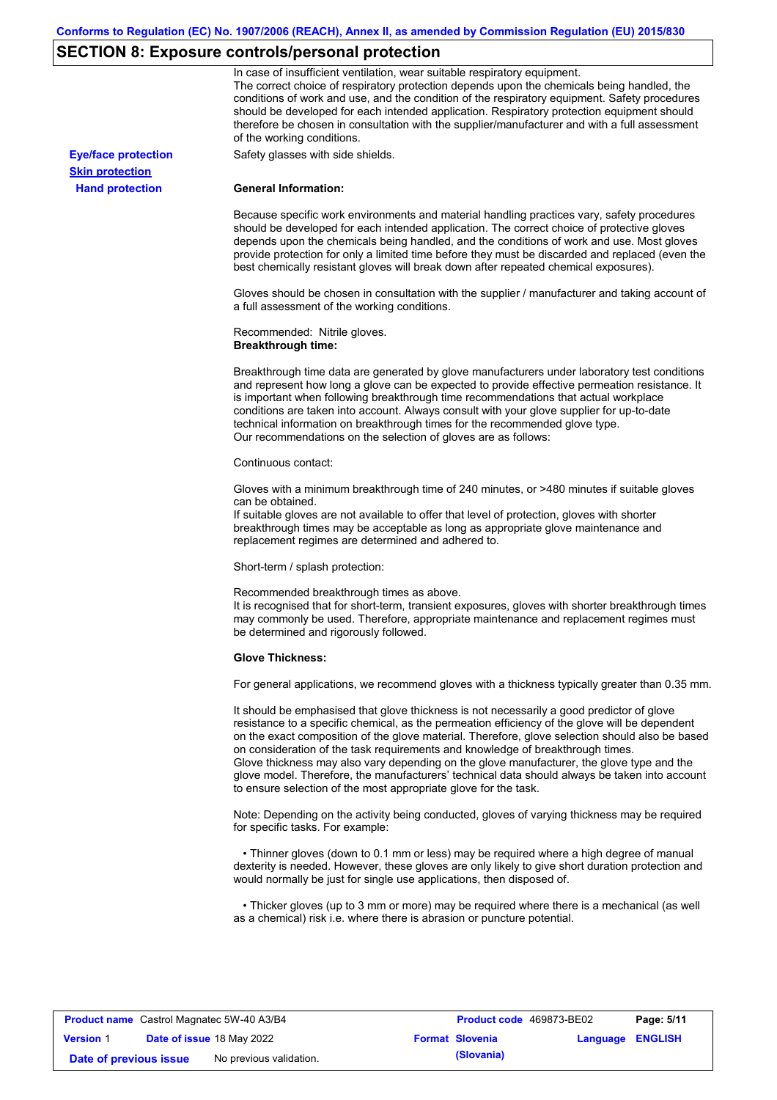# **SECTION 8: Exposure controls/personal protection**

|                            | In case of insufficient ventilation, wear suitable respiratory equipment.<br>The correct choice of respiratory protection depends upon the chemicals being handled, the<br>conditions of work and use, and the condition of the respiratory equipment. Safety procedures<br>should be developed for each intended application. Respiratory protection equipment should<br>therefore be chosen in consultation with the supplier/manufacturer and with a full assessment<br>of the working conditions.                                                                                                                                             |
|----------------------------|---------------------------------------------------------------------------------------------------------------------------------------------------------------------------------------------------------------------------------------------------------------------------------------------------------------------------------------------------------------------------------------------------------------------------------------------------------------------------------------------------------------------------------------------------------------------------------------------------------------------------------------------------|
| <b>Eye/face protection</b> | Safety glasses with side shields.                                                                                                                                                                                                                                                                                                                                                                                                                                                                                                                                                                                                                 |
| <b>Skin protection</b>     |                                                                                                                                                                                                                                                                                                                                                                                                                                                                                                                                                                                                                                                   |
| <b>Hand protection</b>     | <b>General Information:</b>                                                                                                                                                                                                                                                                                                                                                                                                                                                                                                                                                                                                                       |
|                            | Because specific work environments and material handling practices vary, safety procedures<br>should be developed for each intended application. The correct choice of protective gloves<br>depends upon the chemicals being handled, and the conditions of work and use. Most gloves<br>provide protection for only a limited time before they must be discarded and replaced (even the<br>best chemically resistant gloves will break down after repeated chemical exposures).                                                                                                                                                                  |
|                            | Gloves should be chosen in consultation with the supplier / manufacturer and taking account of<br>a full assessment of the working conditions.                                                                                                                                                                                                                                                                                                                                                                                                                                                                                                    |
|                            | Recommended: Nitrile gloves.<br><b>Breakthrough time:</b>                                                                                                                                                                                                                                                                                                                                                                                                                                                                                                                                                                                         |
|                            | Breakthrough time data are generated by glove manufacturers under laboratory test conditions<br>and represent how long a glove can be expected to provide effective permeation resistance. It<br>is important when following breakthrough time recommendations that actual workplace<br>conditions are taken into account. Always consult with your glove supplier for up-to-date<br>technical information on breakthrough times for the recommended glove type.<br>Our recommendations on the selection of gloves are as follows:                                                                                                                |
|                            | Continuous contact:                                                                                                                                                                                                                                                                                                                                                                                                                                                                                                                                                                                                                               |
|                            | Gloves with a minimum breakthrough time of 240 minutes, or >480 minutes if suitable gloves<br>can be obtained.<br>If suitable gloves are not available to offer that level of protection, gloves with shorter<br>breakthrough times may be acceptable as long as appropriate glove maintenance and<br>replacement regimes are determined and adhered to.                                                                                                                                                                                                                                                                                          |
|                            | Short-term / splash protection:                                                                                                                                                                                                                                                                                                                                                                                                                                                                                                                                                                                                                   |
|                            | Recommended breakthrough times as above.<br>It is recognised that for short-term, transient exposures, gloves with shorter breakthrough times<br>may commonly be used. Therefore, appropriate maintenance and replacement regimes must<br>be determined and rigorously followed.                                                                                                                                                                                                                                                                                                                                                                  |
|                            | <b>Glove Thickness:</b>                                                                                                                                                                                                                                                                                                                                                                                                                                                                                                                                                                                                                           |
|                            | For general applications, we recommend gloves with a thickness typically greater than 0.35 mm.                                                                                                                                                                                                                                                                                                                                                                                                                                                                                                                                                    |
|                            | It should be emphasised that glove thickness is not necessarily a good predictor of glove<br>resistance to a specific chemical, as the permeation efficiency of the glove will be dependent<br>on the exact composition of the glove material. Therefore, glove selection should also be based<br>on consideration of the task requirements and knowledge of breakthrough times.<br>Glove thickness may also vary depending on the glove manufacturer, the glove type and the<br>glove model. Therefore, the manufacturers' technical data should always be taken into account<br>to ensure selection of the most appropriate glove for the task. |
|                            | Note: Depending on the activity being conducted, gloves of varying thickness may be required<br>for specific tasks. For example:                                                                                                                                                                                                                                                                                                                                                                                                                                                                                                                  |
|                            | • Thinner gloves (down to 0.1 mm or less) may be required where a high degree of manual<br>dexterity is needed. However, these gloves are only likely to give short duration protection and<br>would normally be just for single use applications, then disposed of.                                                                                                                                                                                                                                                                                                                                                                              |
|                            | • Thicker gloves (up to 3 mm or more) may be required where there is a mechanical (as well<br>as a chemical) risk i.e. where there is abrasion or puncture potential.                                                                                                                                                                                                                                                                                                                                                                                                                                                                             |

| <b>Product name</b> Castrol Magnatec 5W-40 A3/B4 |  | <b>Product code</b> 469873-BE02 | Page: 5/11 |                        |  |                         |
|--------------------------------------------------|--|---------------------------------|------------|------------------------|--|-------------------------|
| <b>Version 1</b>                                 |  | Date of issue 18 May 2022       |            | <b>Format Slovenia</b> |  | <b>Language ENGLISH</b> |
| Date of previous issue                           |  | No previous validation.         |            | (Slovania)             |  |                         |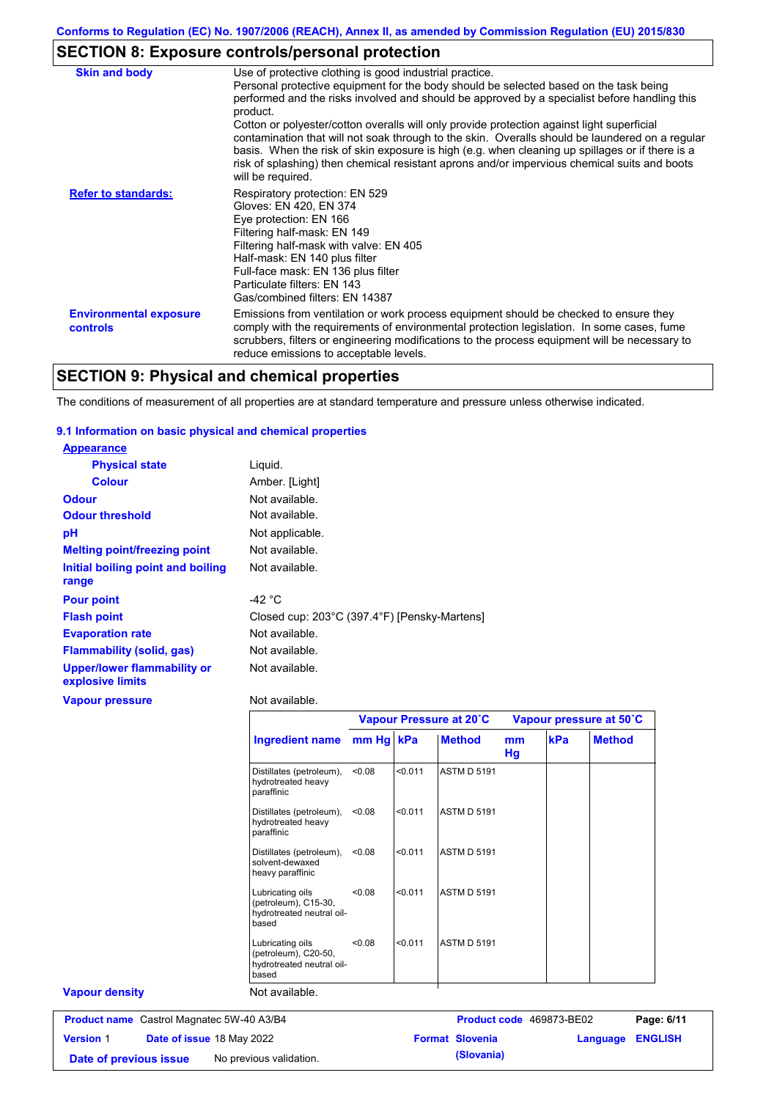# **SECTION 8: Exposure controls/personal protection**

| <b>Skin and body</b>                             | Use of protective clothing is good industrial practice.                                                                                                                                                                                                                                                                                                                                                                                                                                                                                                                                               |
|--------------------------------------------------|-------------------------------------------------------------------------------------------------------------------------------------------------------------------------------------------------------------------------------------------------------------------------------------------------------------------------------------------------------------------------------------------------------------------------------------------------------------------------------------------------------------------------------------------------------------------------------------------------------|
|                                                  | Personal protective equipment for the body should be selected based on the task being<br>performed and the risks involved and should be approved by a specialist before handling this<br>product.<br>Cotton or polyester/cotton overalls will only provide protection against light superficial<br>contamination that will not soak through to the skin. Overalls should be laundered on a regular<br>basis. When the risk of skin exposure is high (e.g. when cleaning up spillages or if there is a<br>risk of splashing) then chemical resistant aprons and/or impervious chemical suits and boots |
|                                                  | will be required.                                                                                                                                                                                                                                                                                                                                                                                                                                                                                                                                                                                     |
| <b>Refer to standards:</b>                       | Respiratory protection: EN 529<br>Gloves: EN 420, EN 374<br>Eye protection: EN 166<br>Filtering half-mask: EN 149<br>Filtering half-mask with valve: EN 405<br>Half-mask: EN 140 plus filter<br>Full-face mask: EN 136 plus filter<br>Particulate filters: EN 143<br>Gas/combined filters: EN 14387                                                                                                                                                                                                                                                                                                   |
| <b>Environmental exposure</b><br><b>controls</b> | Emissions from ventilation or work process equipment should be checked to ensure they<br>comply with the requirements of environmental protection legislation. In some cases, fume<br>scrubbers, filters or engineering modifications to the process equipment will be necessary to<br>reduce emissions to acceptable levels.                                                                                                                                                                                                                                                                         |

## **SECTION 9: Physical and chemical properties**

The conditions of measurement of all properties are at standard temperature and pressure unless otherwise indicated.

### **9.1 Information on basic physical and chemical properties**

| <b>Appearance</b>                                      |                                              |
|--------------------------------------------------------|----------------------------------------------|
| <b>Physical state</b>                                  | Liquid.                                      |
| <b>Colour</b>                                          | Amber. [Light]                               |
| <b>Odour</b>                                           | Not available.                               |
| <b>Odour threshold</b>                                 | Not available.                               |
| рH                                                     | Not applicable.                              |
| <b>Melting point/freezing point</b>                    | Not available.                               |
| Initial boiling point and boiling                      | Not available.                               |
| range                                                  |                                              |
| <b>Pour point</b>                                      | -42 $^{\circ}$ C                             |
| <b>Flash point</b>                                     | Closed cup: 203°C (397.4°F) [Pensky-Martens] |
| <b>Evaporation rate</b>                                | Not available.                               |
| Flammability (solid, gas)                              | Not available.                               |
| <b>Upper/lower flammability or</b><br>explosive limits | Not available.                               |
| Vapour pressure                                        | Not available.                               |

**Date of previous issue** No previous validation. **All in the Slovania** (Slovania)

|                                                  |                                                                                |        |         | Vapour Pressure at 20°C  |          |     | Vapour pressure at 50°C    |
|--------------------------------------------------|--------------------------------------------------------------------------------|--------|---------|--------------------------|----------|-----|----------------------------|
|                                                  | Ingredient name mm Hg kPa                                                      |        |         | <b>Method</b>            | mm<br>Hg | kPa | <b>Method</b>              |
|                                                  | Distillates (petroleum),<br>hydrotreated heavy<br>paraffinic                   | < 0.08 | < 0.011 | <b>ASTM D 5191</b>       |          |     |                            |
|                                                  | Distillates (petroleum),<br>hydrotreated heavy<br>paraffinic                   | < 0.08 | < 0.011 | <b>ASTM D 5191</b>       |          |     |                            |
|                                                  | Distillates (petroleum),<br>solvent-dewaxed<br>heavy paraffinic                | < 0.08 | < 0.011 | <b>ASTM D 5191</b>       |          |     |                            |
|                                                  | Lubricating oils<br>(petroleum), C15-30,<br>hydrotreated neutral oil-<br>based | < 0.08 | < 0.011 | <b>ASTM D 5191</b>       |          |     |                            |
|                                                  | Lubricating oils<br>(petroleum), C20-50,<br>hydrotreated neutral oil-<br>based | < 0.08 | < 0.011 | <b>ASTM D 5191</b>       |          |     |                            |
| <b>Vapour density</b>                            | Not available.                                                                 |        |         |                          |          |     |                            |
| <b>Product name</b> Castrol Magnatec 5W-40 A3/B4 |                                                                                |        |         | Product code 469873-BE02 |          |     | Page: 6/11                 |
| <b>Version 1</b><br>Date of issue 18 May 2022    |                                                                                |        |         | <b>Format Slovenia</b>   |          |     | <b>ENGLISH</b><br>Language |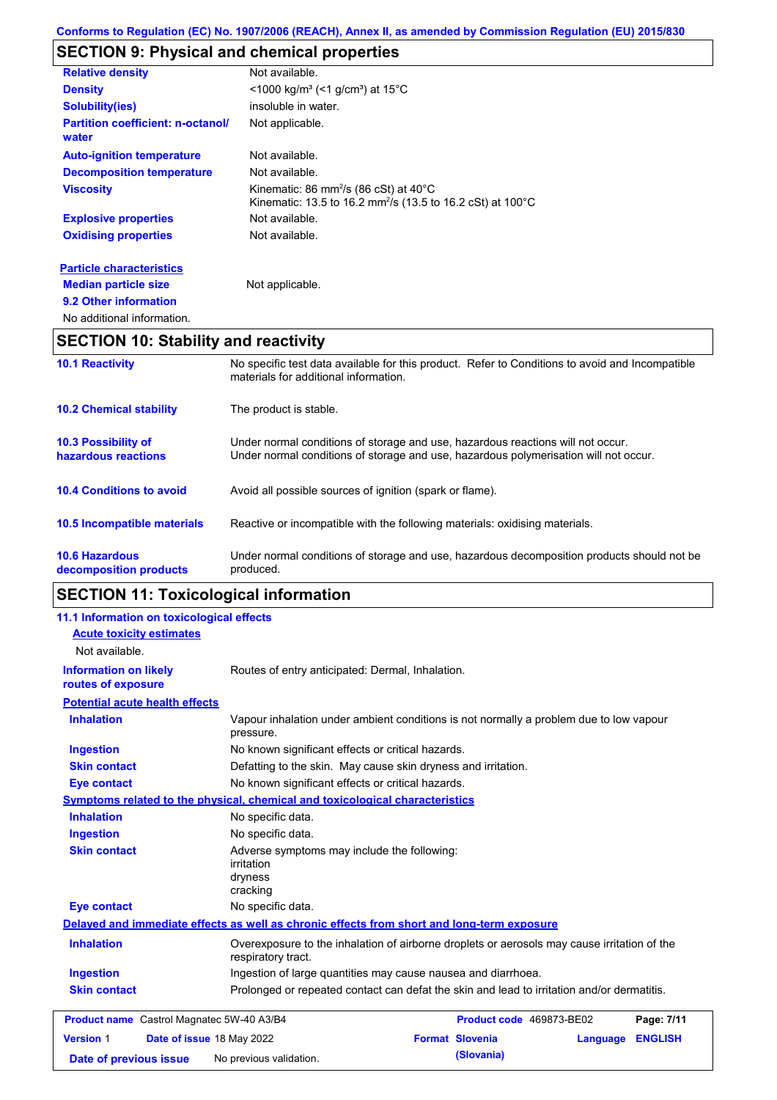# **SECTION 9: Physical and chemical properties**

| <b>Relative density</b>                    | Not available.                                                                                                                         |
|--------------------------------------------|----------------------------------------------------------------------------------------------------------------------------------------|
| <b>Density</b>                             | $\leq$ 1000 kg/m <sup>3</sup> (<1 g/cm <sup>3</sup> ) at 15 <sup>°</sup> C                                                             |
| <b>Solubility(ies)</b>                     | insoluble in water.                                                                                                                    |
| Partition coefficient: n-octanol/<br>water | Not applicable.                                                                                                                        |
| <b>Auto-ignition temperature</b>           | Not available.                                                                                                                         |
| <b>Decomposition temperature</b>           | Not available.                                                                                                                         |
| <b>Viscosity</b>                           | Kinematic: 86 mm <sup>2</sup> /s (86 cSt) at $40^{\circ}$ C<br>Kinematic: 13.5 to 16.2 mm <sup>2</sup> /s (13.5 to 16.2 cSt) at 100 °C |
| <b>Explosive properties</b>                | Not available.                                                                                                                         |
| <b>Oxidising properties</b>                | Not available.                                                                                                                         |
| <b>Particle characteristics</b>            |                                                                                                                                        |
| <b>Median particle size</b>                | Not applicable.                                                                                                                        |

**9.2 Other information** No additional information.

# **SECTION 10: Stability and reactivity**

| <b>10.1 Reactivity</b>                            | No specific test data available for this product. Refer to Conditions to avoid and Incompatible<br>materials for additional information.                                |
|---------------------------------------------------|-------------------------------------------------------------------------------------------------------------------------------------------------------------------------|
| <b>10.2 Chemical stability</b>                    | The product is stable.                                                                                                                                                  |
| <b>10.3 Possibility of</b><br>hazardous reactions | Under normal conditions of storage and use, hazardous reactions will not occur.<br>Under normal conditions of storage and use, hazardous polymerisation will not occur. |
| <b>10.4 Conditions to avoid</b>                   | Avoid all possible sources of ignition (spark or flame).                                                                                                                |
| <b>10.5 Incompatible materials</b>                | Reactive or incompatible with the following materials: oxidising materials.                                                                                             |
| <b>10.6 Hazardous</b><br>decomposition products   | Under normal conditions of storage and use, hazardous decomposition products should not be<br>produced.                                                                 |
|                                                   |                                                                                                                                                                         |

# **SECTION 11: Toxicological information**

| 11.1 Information on toxicological effects          |                                                                                                                   |                                                  |          |                |  |  |
|----------------------------------------------------|-------------------------------------------------------------------------------------------------------------------|--------------------------------------------------|----------|----------------|--|--|
| <b>Acute toxicity estimates</b><br>Not available.  |                                                                                                                   |                                                  |          |                |  |  |
| <b>Information on likely</b><br>routes of exposure |                                                                                                                   | Routes of entry anticipated: Dermal, Inhalation. |          |                |  |  |
| <b>Potential acute health effects</b>              |                                                                                                                   |                                                  |          |                |  |  |
| <b>Inhalation</b>                                  | Vapour inhalation under ambient conditions is not normally a problem due to low vapour<br>pressure.               |                                                  |          |                |  |  |
| <b>Ingestion</b>                                   | No known significant effects or critical hazards.                                                                 |                                                  |          |                |  |  |
| <b>Skin contact</b>                                | Defatting to the skin. May cause skin dryness and irritation.                                                     |                                                  |          |                |  |  |
| <b>Eye contact</b>                                 | No known significant effects or critical hazards.                                                                 |                                                  |          |                |  |  |
|                                                    | <b>Symptoms related to the physical, chemical and toxicological characteristics</b>                               |                                                  |          |                |  |  |
| <b>Inhalation</b>                                  | No specific data.                                                                                                 |                                                  |          |                |  |  |
| <b>Ingestion</b>                                   | No specific data.                                                                                                 |                                                  |          |                |  |  |
| <b>Skin contact</b>                                | Adverse symptoms may include the following:<br><i>irritation</i><br>dryness<br>cracking                           |                                                  |          |                |  |  |
| <b>Eye contact</b>                                 | No specific data.                                                                                                 |                                                  |          |                |  |  |
|                                                    | Delayed and immediate effects as well as chronic effects from short and long-term exposure                        |                                                  |          |                |  |  |
| <b>Inhalation</b>                                  | Overexposure to the inhalation of airborne droplets or aerosols may cause irritation of the<br>respiratory tract. |                                                  |          |                |  |  |
| <b>Ingestion</b>                                   | Ingestion of large quantities may cause nausea and diarrhoea.                                                     |                                                  |          |                |  |  |
| <b>Skin contact</b>                                | Prolonged or repeated contact can defat the skin and lead to irritation and/or dermatitis.                        |                                                  |          |                |  |  |
| Product name Castrol Magnatec 5W-40 A3/B4          |                                                                                                                   | Product code 469873-BE02                         |          | Page: 7/11     |  |  |
| <b>Version 1</b><br>Date of issue 18 May 2022      |                                                                                                                   | <b>Format Slovenia</b>                           | Language | <b>ENGLISH</b> |  |  |
| Date of previous issue                             | No previous validation.                                                                                           | (Slovania)                                       |          |                |  |  |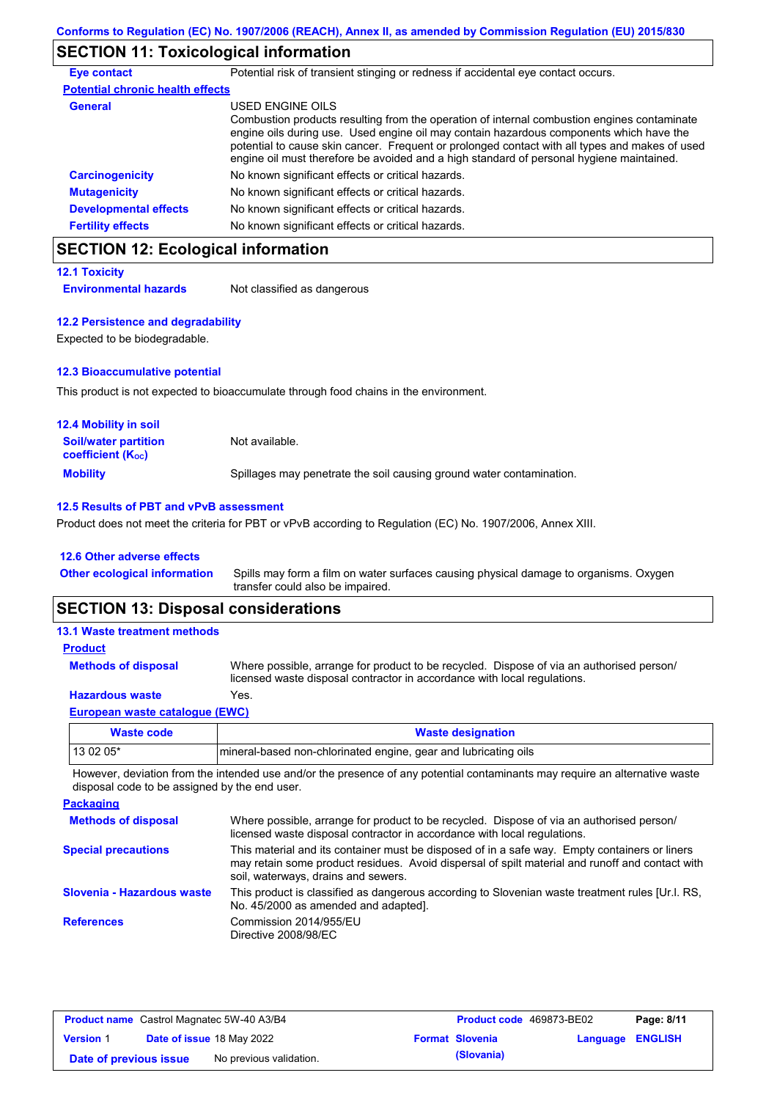## **SECTION 11: Toxicological information**

| <b>Eye contact</b>                      | Potential risk of transient stinging or redness if accidental eye contact occurs.                                                                                                                                                                                                                                                                                                                        |
|-----------------------------------------|----------------------------------------------------------------------------------------------------------------------------------------------------------------------------------------------------------------------------------------------------------------------------------------------------------------------------------------------------------------------------------------------------------|
| <b>Potential chronic health effects</b> |                                                                                                                                                                                                                                                                                                                                                                                                          |
| General                                 | USED ENGINE OILS<br>Combustion products resulting from the operation of internal combustion engines contaminate<br>engine oils during use. Used engine oil may contain hazardous components which have the<br>potential to cause skin cancer. Frequent or prolonged contact with all types and makes of used<br>engine oil must therefore be avoided and a high standard of personal hygiene maintained. |
| <b>Carcinogenicity</b>                  | No known significant effects or critical hazards.                                                                                                                                                                                                                                                                                                                                                        |
| <b>Mutagenicity</b>                     | No known significant effects or critical hazards.                                                                                                                                                                                                                                                                                                                                                        |
| <b>Developmental effects</b>            | No known significant effects or critical hazards.                                                                                                                                                                                                                                                                                                                                                        |
| <b>Fertility effects</b>                | No known significant effects or critical hazards.                                                                                                                                                                                                                                                                                                                                                        |

## **SECTION 12: Ecological information**

| <b>12.1 Toxicity</b>         |                             |
|------------------------------|-----------------------------|
| <b>Environmental hazards</b> | Not classified as dangerous |

#### **12.2 Persistence and degradability**

Expected to be biodegradable.

#### **12.3 Bioaccumulative potential**

This product is not expected to bioaccumulate through food chains in the environment.

| <b>12.4 Mobility in soil</b>                            |                                                                      |
|---------------------------------------------------------|----------------------------------------------------------------------|
| <b>Soil/water partition</b><br><b>coefficient (Koc)</b> | Not available.                                                       |
| <b>Mobility</b>                                         | Spillages may penetrate the soil causing ground water contamination. |

### **12.5 Results of PBT and vPvB assessment**

Product does not meet the criteria for PBT or vPvB according to Regulation (EC) No. 1907/2006, Annex XIII.

#### **12.6 Other adverse effects**

| Other ecological information Spills may form a film on water surfaces causing physical damage to organisms. Oxygen |
|--------------------------------------------------------------------------------------------------------------------|
| transfer could also be impaired.                                                                                   |

# **SECTION 13: Disposal considerations**

| <b>13.1 Waste treatment methods</b> |                                                                                                                                                                      |
|-------------------------------------|----------------------------------------------------------------------------------------------------------------------------------------------------------------------|
| <b>Product</b>                      |                                                                                                                                                                      |
| <b>Methods of disposal</b>          | Where possible, arrange for product to be recycled. Dispose of via an authorised person/<br>licensed waste disposal contractor in accordance with local regulations. |
| <b>Hazardous waste</b>              | Yes.                                                                                                                                                                 |
| European waste catalogue (EWC)      |                                                                                                                                                                      |
|                                     |                                                                                                                                                                      |

| Waste code | <b>Waste designation</b>                                         |
|------------|------------------------------------------------------------------|
| 13 02 05*  | Imineral-based non-chlorinated engine, gear and lubricating oils |

However, deviation from the intended use and/or the presence of any potential contaminants may require an alternative waste disposal code to be assigned by the end user.

| <b>Packaging</b>           |                                                                                                                                                                                                                                         |
|----------------------------|-----------------------------------------------------------------------------------------------------------------------------------------------------------------------------------------------------------------------------------------|
| <b>Methods of disposal</b> | Where possible, arrange for product to be recycled. Dispose of via an authorised person/<br>licensed waste disposal contractor in accordance with local regulations.                                                                    |
| <b>Special precautions</b> | This material and its container must be disposed of in a safe way. Empty containers or liners<br>may retain some product residues. Avoid dispersal of spilt material and runoff and contact with<br>soil, waterways, drains and sewers. |
| Slovenia - Hazardous waste | This product is classified as dangerous according to Slovenian waste treatment rules [Ur.l. RS.]<br>No. 45/2000 as amended and adapted].                                                                                                |
| <b>References</b>          | Commission 2014/955/EU<br>Directive 2008/98/EC                                                                                                                                                                                          |

| <b>Product name</b> Castrol Magnatec 5W-40 A3/B4 |  | <b>Product code</b> 469873-BE02  |  | Page: 8/11             |                         |  |
|--------------------------------------------------|--|----------------------------------|--|------------------------|-------------------------|--|
| <b>Version 1</b>                                 |  | <b>Date of issue 18 May 2022</b> |  | <b>Format Slovenia</b> | <b>Language ENGLISH</b> |  |
| Date of previous issue                           |  | No previous validation.          |  | (Slovania)             |                         |  |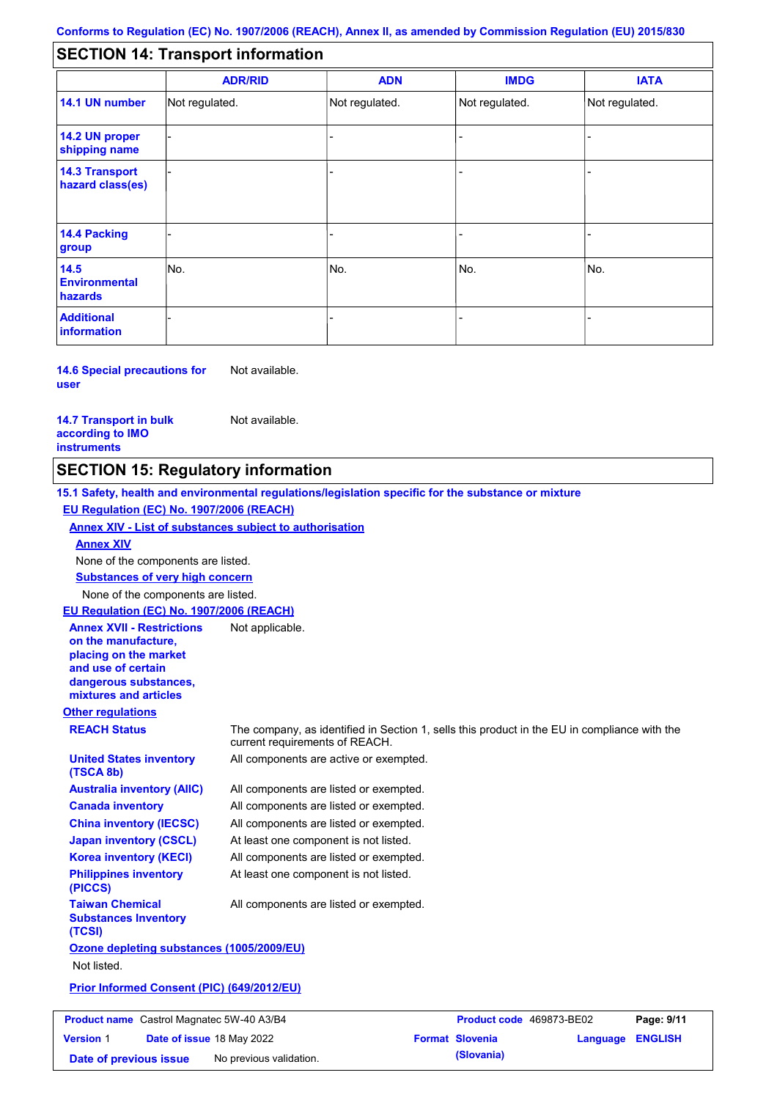#### - - - - - - - - - Not regulated. Not regulated. Not regulated. - - - **SECTION 14: Transport information ADR/RID IMDG IATA 14.1 UN number 14.2 UN proper shipping name 14.3 Transport hazard class(es) 14.4 Packing group ADN Additional information 14.5 Environmental hazards** No. 1980 | No. 1980 | No. 1980 | No. 1980 | No. 1980 | No. 1980 | No. 1980 | No. 1980 | No. 1980 | No. 1980 | Not regulated. - -<br>No. - -

**14.6 Special precautions for user** Not available.

**14.7 Transport in bulk according to IMO instruments**

Not available.

### **SECTION 15: Regulatory information**

**Other regulations REACH Status** The company, as identified in Section 1, sells this product in the EU in compliance with the current requirements of REACH. **15.1 Safety, health and environmental regulations/legislation specific for the substance or mixture EU Regulation (EC) No. 1907/2006 (REACH) Annex XIV - List of substances subject to authorisation Substances of very high concern** None of the components are listed. All components are listed or exempted. All components are listed or exempted. All components are listed or exempted. At least one component is not listed. All components are active or exempted. All components are listed or exempted. At least one component is not listed. **United States inventory (TSCA 8b) Australia inventory (AIIC) Canada inventory China inventory (IECSC) Japan inventory (CSCL) Korea inventory (KECI) Philippines inventory (PICCS) Taiwan Chemical Substances Inventory (TCSI)** All components are listed or exempted. **Ozone depleting substances (1005/2009/EU)** Not listed. **Prior Informed Consent (PIC) (649/2012/EU)** None of the components are listed. **Annex XIV EU Regulation (EC) No. 1907/2006 (REACH) Annex XVII - Restrictions on the manufacture, placing on the market and use of certain dangerous substances, mixtures and articles** Not applicable.

**Product name** Castrol Magnatec 5W-40 A3/B4 **Product code** 469873-BE02 **Page: 9/11 Version** 1 **Date of issue** 18 May 2022 **Format Slovenia Language ENGLISH Date of previous issue** No previous validation. **(Slovania)**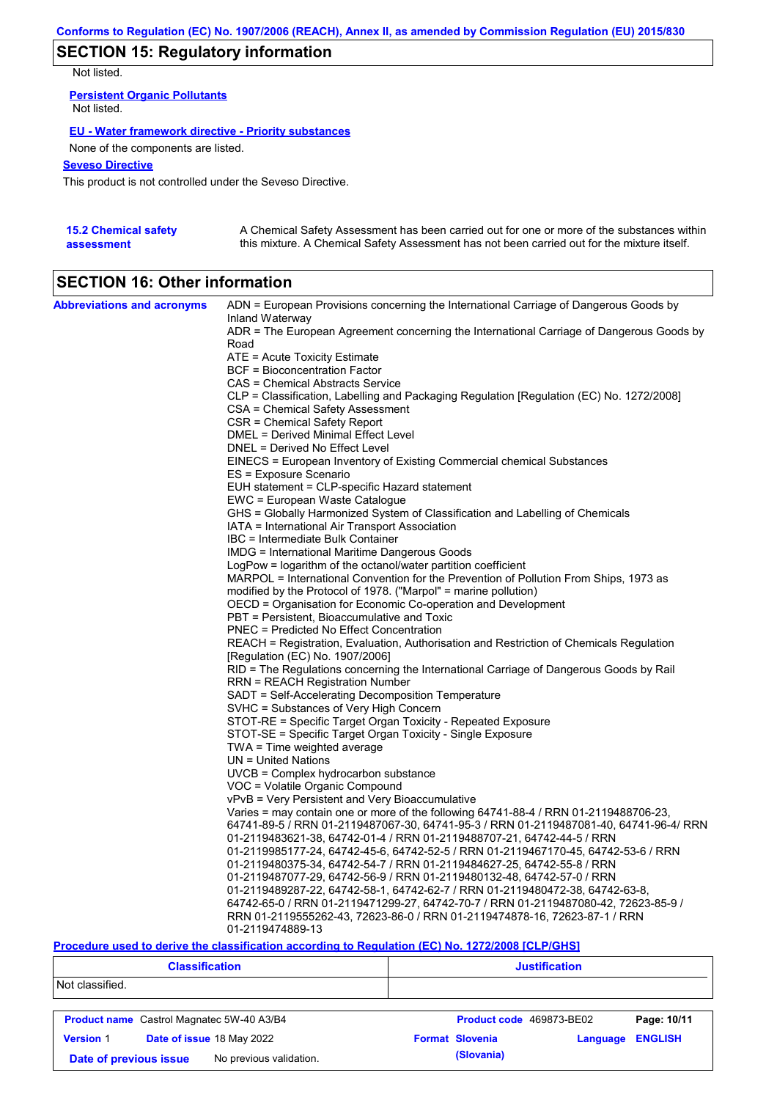## **SECTION 15: Regulatory information**

Not listed.

**Persistent Organic Pollutants** Not listed.

#### **EU - Water framework directive - Priority substances**

None of the components are listed.

### **Seveso Directive**

This product is not controlled under the Seveso Directive.

| <b>15.2 Chemical safety</b> | A Chemical Safety Assessment has been carried out for one or more of the substances within  |
|-----------------------------|---------------------------------------------------------------------------------------------|
| assessment                  | this mixture. A Chemical Safety Assessment has not been carried out for the mixture itself. |

# **SECTION 16: Other information**

| <b>Abbreviations and acronyms</b> | ADN = European Provisions concerning the International Carriage of Dangerous Goods by                                                                                         |
|-----------------------------------|-------------------------------------------------------------------------------------------------------------------------------------------------------------------------------|
|                                   | Inland Waterway                                                                                                                                                               |
|                                   | ADR = The European Agreement concerning the International Carriage of Dangerous Goods by<br>Road                                                                              |
|                                   | ATE = Acute Toxicity Estimate                                                                                                                                                 |
|                                   | BCF = Bioconcentration Factor                                                                                                                                                 |
|                                   | CAS = Chemical Abstracts Service                                                                                                                                              |
|                                   | CLP = Classification, Labelling and Packaging Regulation [Regulation (EC) No. 1272/2008]                                                                                      |
|                                   | CSA = Chemical Safety Assessment                                                                                                                                              |
|                                   | CSR = Chemical Safety Report                                                                                                                                                  |
|                                   | DMEL = Derived Minimal Effect Level                                                                                                                                           |
|                                   | DNEL = Derived No Effect Level                                                                                                                                                |
|                                   | EINECS = European Inventory of Existing Commercial chemical Substances                                                                                                        |
|                                   | ES = Exposure Scenario                                                                                                                                                        |
|                                   | EUH statement = CLP-specific Hazard statement                                                                                                                                 |
|                                   | EWC = European Waste Catalogue                                                                                                                                                |
|                                   | GHS = Globally Harmonized System of Classification and Labelling of Chemicals                                                                                                 |
|                                   | IATA = International Air Transport Association                                                                                                                                |
|                                   | IBC = Intermediate Bulk Container                                                                                                                                             |
|                                   | <b>IMDG</b> = International Maritime Dangerous Goods                                                                                                                          |
|                                   | LogPow = logarithm of the octanol/water partition coefficient                                                                                                                 |
|                                   | MARPOL = International Convention for the Prevention of Pollution From Ships, 1973 as                                                                                         |
|                                   | modified by the Protocol of 1978. ("Marpol" = marine pollution)<br>OECD = Organisation for Economic Co-operation and Development                                              |
|                                   | PBT = Persistent, Bioaccumulative and Toxic                                                                                                                                   |
|                                   | <b>PNEC</b> = Predicted No Effect Concentration                                                                                                                               |
|                                   | REACH = Registration, Evaluation, Authorisation and Restriction of Chemicals Regulation                                                                                       |
|                                   | [Regulation (EC) No. 1907/2006]                                                                                                                                               |
|                                   | RID = The Regulations concerning the International Carriage of Dangerous Goods by Rail                                                                                        |
|                                   | RRN = REACH Registration Number                                                                                                                                               |
|                                   | SADT = Self-Accelerating Decomposition Temperature                                                                                                                            |
|                                   | SVHC = Substances of Very High Concern                                                                                                                                        |
|                                   | STOT-RE = Specific Target Organ Toxicity - Repeated Exposure                                                                                                                  |
|                                   | STOT-SE = Specific Target Organ Toxicity - Single Exposure                                                                                                                    |
|                                   | $TWA = Time$ weighted average                                                                                                                                                 |
|                                   | $UN = United Nations$                                                                                                                                                         |
|                                   | UVCB = Complex hydrocarbon substance                                                                                                                                          |
|                                   | VOC = Volatile Organic Compound                                                                                                                                               |
|                                   | vPvB = Very Persistent and Very Bioaccumulative                                                                                                                               |
|                                   | Varies = may contain one or more of the following 64741-88-4 / RRN 01-2119488706-23,<br>64741-89-5 / RRN 01-2119487067-30, 64741-95-3 / RRN 01-2119487081-40, 64741-96-4/ RRN |
|                                   | 01-2119483621-38, 64742-01-4 / RRN 01-2119488707-21, 64742-44-5 / RRN                                                                                                         |
|                                   | 01-2119985177-24, 64742-45-6, 64742-52-5 / RRN 01-2119467170-45, 64742-53-6 / RRN                                                                                             |
|                                   | 01-2119480375-34, 64742-54-7 / RRN 01-2119484627-25, 64742-55-8 / RRN                                                                                                         |
|                                   | 01-2119487077-29, 64742-56-9 / RRN 01-2119480132-48, 64742-57-0 / RRN                                                                                                         |
|                                   | 01-2119489287-22, 64742-58-1, 64742-62-7 / RRN 01-2119480472-38, 64742-63-8,                                                                                                  |
|                                   | 64742-65-0 / RRN 01-2119471299-27, 64742-70-7 / RRN 01-2119487080-42, 72623-85-9 /                                                                                            |
|                                   | RRN 01-2119555262-43, 72623-86-0 / RRN 01-2119474878-16, 72623-87-1 / RRN                                                                                                     |
|                                   | 01-2119474889-13                                                                                                                                                              |

### **Procedure used to derive the classification according to Regulation (EC) No. 1272/2008 [CLP/GHS]**

| <b>Classification</b>                             |                                                  |  | <b>Justification</b>   |                          |                |
|---------------------------------------------------|--------------------------------------------------|--|------------------------|--------------------------|----------------|
| Not classified.                                   |                                                  |  |                        |                          |                |
|                                                   | <b>Product name</b> Castrol Magnatec 5W-40 A3/B4 |  |                        | Product code 469873-BE02 | Page: 10/11    |
| <b>Version 1</b>                                  | Date of issue 18 May 2022                        |  | <b>Format Slovenia</b> | Language                 | <b>ENGLISH</b> |
| No previous validation.<br>Date of previous issue |                                                  |  | (Slovania)             |                          |                |